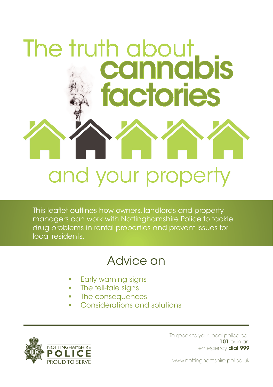## The truth about, cannabis factories and your property

This leaflet outlines how owners, landlords and property managers can work with Nottinghamshire Police to tackle drug problems in rental properties and prevent issues for local residents.

## Advice on

- Early warning signs
- The tell-tale signs
- The consequences
- Considerations and solutions



To speak to your local police call 101 or in an emergency dial 999

www.nottinghamshire.police.uk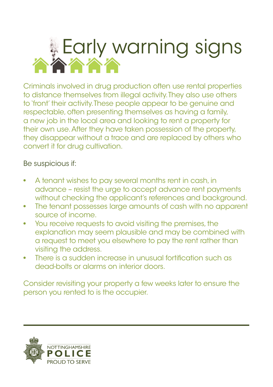

Criminals involved in drug production often use rental properties to distance themselves from illegal activity. They also use others to 'front' their activity. These people appear to be genuine and respectable, often presenting themselves as having a family, a new job in the local area and looking to rent a property for their own use. After they have taken possession of the property, they disappear without a trace and are replaced by others who convert it for drug cultivation.

Be suspicious if:

- A tenant wishes to pay several months rent in cash, in advance – resist the urge to accept advance rent payments without checking the applicant's references and background.
- The tenant possesses large amounts of cash with no apparent source of income.
- You receive requests to avoid visiting the premises, the explanation may seem plausible and may be combined with a request to meet you elsewhere to pay the rent rather than visiting the address.
- There is a sudden increase in unusual fortification such as dead-bolts or alarms on interior doors.

Consider revisiting your property a few weeks later to ensure the person you rented to is the occupier.

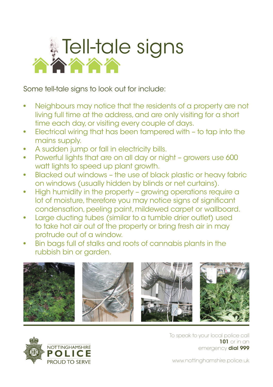

Some tell-tale signs to look out for include:

- Neighbours may notice that the residents of a property are not living full time at the address, and are only visiting for a short time each day, or visiting every couple of days.
- Electrical wiring that has been tampered with to tap into the mains supply.
- A sudden jump or fall in electricity bills.
- Powerful lights that are on all day or night growers use 600 watt lights to speed up plant growth.
- Blacked out windows the use of black plastic or heavy fabric on windows (usually hidden by blinds or net curtains).
- High humidity in the property growing operations require a lot of moisture, therefore you may notice signs of significant condensation, peeling paint, mildewed carpet or wallboard.
- Large ducting tubes (similar to a tumble drier outlet) used to take hot air out of the property or bring fresh air in may protrude out of a window.
- Bin bags full of stalks and roots of cannabis plants in the rubbish bin or garden.





To speak to your local police call 101 or in an emergency dial 999

www.nottinghamshire.police.uk